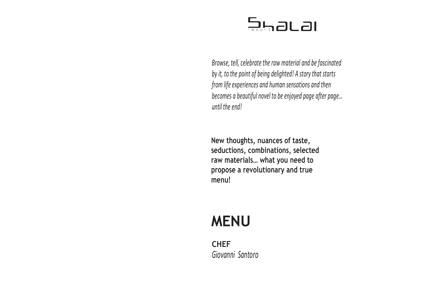

Browse, tell, celebrate the raw material and be fascinated by it, to the point of being delighted! A story that starts from life experiences and human sensations and then becomes a beautiful novel to be enjoyed page after page… until the end!

New thoughts, nuances of taste, seductions, combinations, selected raw materials… what you need to … propose a revolutionary and true menu!

# MENU

**CHEF** Giovanni Santoro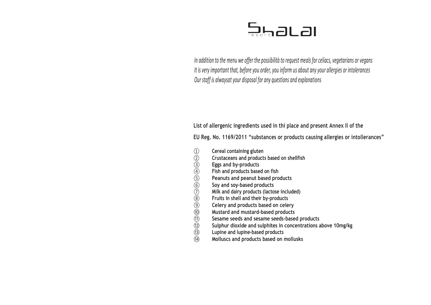

In addition to the menu we offer the possibilità to request meals for celiacs, vegetarians or vegans It is very important that, before you order, you inform us about any your allergies or intolerances Our staff is alwaysat your alsposal for any questions and explanations

List of allergenic ingredients used in thi place and present Annex II of the

EU Reg. No. 1169/2011 "substances or products causing allergies or intollerances" ce and pres<br>lucts causin<br>ellfish<br>ed)<br>s

- 
- Crustaceans and products based on shellfish
- Eggs and by-products
- Fish and products based on fish
- Peanuts and peanut based products
- Soy and soy-based products
- Milk and dairy products (lactose included)
- Fruits in shell and their by-products
- <table>\n<tbody>\n<tr>\n<td>(1)</td>\n<td>General containing gluten</td>\n</tr>\n<tr>\n<td>(2)</td>\n<td>Crustaceans and product</td>\n</tr>\n<tr>\n<td>(3)</td>\n<td>Eggs and by-products</td>\n</tr>\n<tr>\n<td>(4)</td>\n<td>Fish and products based</td>\n</tr>\n<tr>\n<td>(5)</td>\n<td>Peanuts and peanut bas</td>\n</tr>\n<tr>\n<td>(6)</td>\n<td>Soy and soy-based prod</td>\n</tr>\n<tr>\n<td>(7)</td>\n<td>Millk and dairy products</td>\n</tr>\n<tr>\n<td>(8)</td>\n<td>Fruits in shell and their b</td>\n</tr>\n<tr>\n<td>(9)</td>\n<td>Celer ⑨ Celery and products based on celery
- ⑩ Mustard and mustard-based products
- Sesame seeds and sesame seeds-based products
- Sulphur dioxide and sulphites in concentrations above 10mg/kg
- Lupine and lupine-based products
- ⑭ Molluscs and products based on mollusks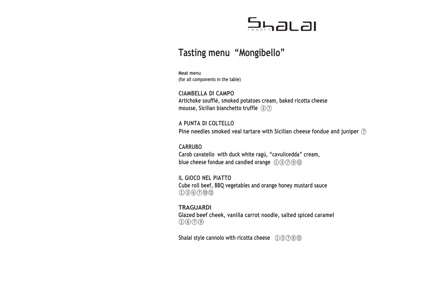# Tasting menu "Mongibello"

Meat menu (for all components in the table)

CIAMBELLA DI CAMPO Artichoke soufflé, smoked potatoes cream, baked ricotta cheese mousse, Sicilian bianchetto truffle ③⑦

A PUNTA DI COLTELLO Pine needles smoked veal tartare with Sicilian cheese fondue and juniper  $(7)$ ⑦

CARRUBO Carob cavatello with duck white ragù, "cavulicedda" cream, cavulicedda" blue cheese fondue and candied orange  $(1)(3)(7)(9)(2)$ 

IL GIOCO NEL PIATTO Cube roll beef, BBQ vegetables and orange honey mustard sauce ①③⑥⑦⑩⑫

**TRAGUARDI** Glazed beef cheek, vanilla carrot noodle, salted spiced caramel ①⑥⑦⑨

Shalai style cannolo with ricotta cheese  $(1)(3)(7)(8)(2)$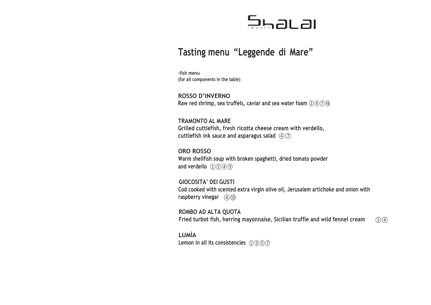## Tasting menu "Leggende di Mare"

-fish menu (for all components in the table)

ROSSO D'INVERNO Raw red shrimp, sea truffels, caviar and sea water foam  $(2)(4)(7)(4)$  $(2) \times (4) \times (14)$ 

TRAMONTO AL MARE Grilled cuttlefish, fresh ricotta cheese cream with verdello, cuttlefish ink sauce and asparagus salad  $\mathcal{A}\mathcal{D}$ 

ORO ROSSO Warm shellfish soup with broken spaghetti, dried tomato powder and verdello  $(1)(2)(4)(9)$ 

GIOCOSITA' DEI GUSTI Cod cooked with scented extra virgin olive oil, Jerusalem artichoke and onion with raspberry vinegar (4)(12)

ROMBO AD ALTA QUOTA Fried turbot fish, herring mayonnaise, Sicilian truffle and wild fennel cream  $(1)(4)$  $(1)(4)$ 

LUMÌA Lemon in all its consistencies  $(1)(3)(5)(7)$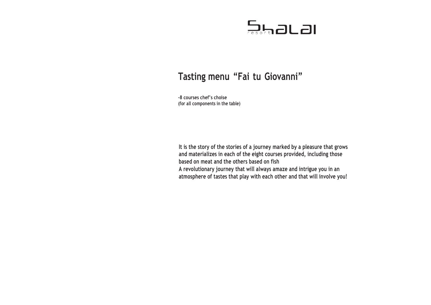# Tasting menu "Fai tu Giovanni"

-8 courses chef's choise (for all components in the table)

It is the story of the stories of a journey marked by a pleasure that grows and materializes in each of the eight courses provided, including those based on meat and the others based on fish A revolutionary journey that will always amaze and intrigue you in an atmosphere of tastes that play with each other and that will involve you!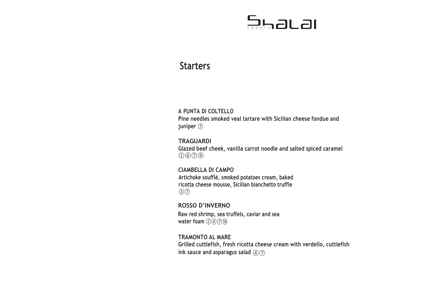## **Starters**

### A PUNTA DI COLTELLO

Pine needles smoked veal tartare with Sicilian cheese fondue and juniper ⑦

### **TRAGUARDI**

Glazed beef cheek, vanilla carrot noodle and salted spiced caramel ①⑥⑦⑨

### CIAMBELLA DI CAMPO

Artichoke soufflé, smoked potatoes cream, baked ricotta cheese mousse, Sicilian bianchetto truffle ③⑦

## ROSSO D'INVERNO

Raw red shrimp, sea truffels, caviar and sea water foam  $(2)(4)(7)(4)$ 

### TRAMONTO AL MARE Grilled cuttlefish, fresh ricotta cheese cream with verdello, cuttlefish ink sauce and asparagus salad  $\widehat{(4)}$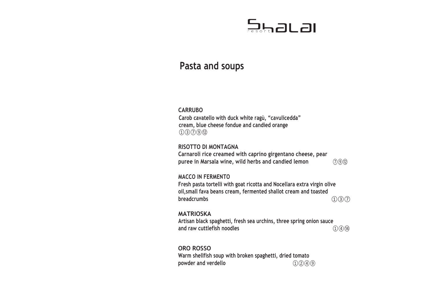## Pasta and soups

### CARRUBO

Carob cavatello with duck white ragù, "cavulicedda" cream, blue cheese fondue and candied orange ①③⑦⑨⑫

### RISOTTO DI MONTAGNA

Carnaroli rice creamed with caprino girgentano cheese, pear puree in Marsala wine, wild herbs and candied lemon  $(7)$ 

⑦⑨⑫

### MACCO IN FERMENTO

Fresh pasta tortelli with goat ricotta and Nocellara extra virgin olive oil,small fava beans cream, fermented shallot cream and toasted breadcrumbs  $(1)(3)(7)$ 

**MATRIOSKA** Artisan black spaghetti, fresh sea urchins, three spring onion sauce and raw cuttlefish noodles  $(1)(4)(14)$ 

### ORO ROSSO

Warm shellfish soup with broken spaghetti, dried tomato powder and verdello  $①②④③$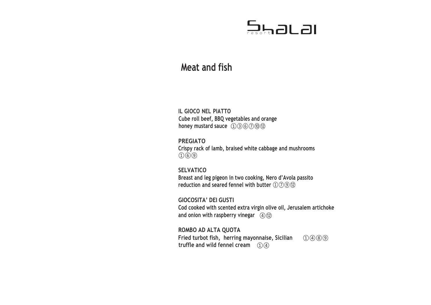# $5472L$ al

## Meat and fish

IL GIOCO NEL PIATTO Cube roll beef, BBQ vegetables and orange honey mustard sauce  $(1)(3)(6)(7)(0)(2)$ 

PREGIATO Crispy rack of lamb, braised white cabbage and mushrooms  $(1)$  (0) (9)

**SELVATICO** Breast and leg pigeon in two cooking, Nero d'Avola passito reduction and seared fennel with butter  $(1)(7)(9)(2)$ 

GIOCOSITA' DEI GUSTI Cod cooked with scented extra virgin olive oil, Jerusalem artichoke and onion with raspberry vinegar  $\alpha$  (12)

ROMBO AD ALTA QUOTA Fried turbot fish, herring mayonnaise, Sicilian  $(1)(4)(8)(9)$ truffle and wild fennel cream  $\mathcal{O}(4)$